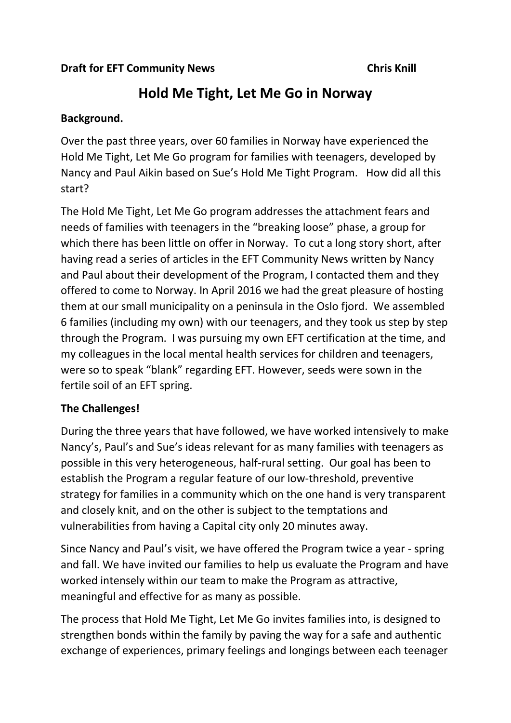# **Hold Me Tight, Let Me Go in Norway**

### **Background.**

Over the past three years, over 60 families in Norway have experienced the Hold Me Tight, Let Me Go program for families with teenagers, developed by Nancy and Paul Aikin based on Sue's Hold Me Tight Program. How did all this start?

The Hold Me Tight, Let Me Go program addresses the attachment fears and needs of families with teenagers in the "breaking loose" phase, a group for which there has been little on offer in Norway. To cut a long story short, after having read a series of articles in the EFT Community News written by Nancy and Paul about their development of the Program, I contacted them and they offered to come to Norway. In April 2016 we had the great pleasure of hosting them at our small municipality on a peninsula in the Oslo fjord. We assembled 6 families (including my own) with our teenagers, and they took us step by step through the Program. I was pursuing my own EFT certification at the time, and my colleagues in the local mental health services for children and teenagers, were so to speak "blank" regarding EFT. However, seeds were sown in the fertile soil of an EFT spring.

# **The Challenges!**

During the three years that have followed, we have worked intensively to make Nancy's, Paul's and Sue's ideas relevant for as many families with teenagers as possible in this very heterogeneous, half-rural setting. Our goal has been to establish the Program a regular feature of our low-threshold, preventive strategy for families in a community which on the one hand is very transparent and closely knit, and on the other is subject to the temptations and vulnerabilities from having a Capital city only 20 minutes away.

Since Nancy and Paul's visit, we have offered the Program twice a year - spring and fall. We have invited our families to help us evaluate the Program and have worked intensely within our team to make the Program as attractive, meaningful and effective for as many as possible.

The process that Hold Me Tight, Let Me Go invites families into, is designed to strengthen bonds within the family by paving the way for a safe and authentic exchange of experiences, primary feelings and longings between each teenager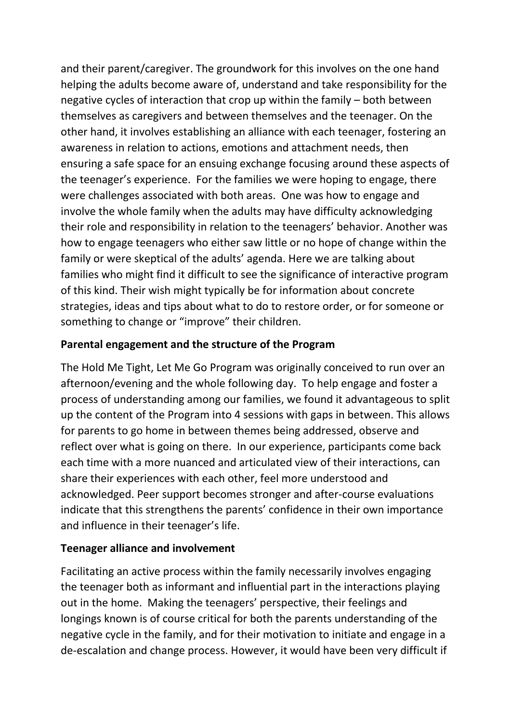and their parent/caregiver. The groundwork for this involves on the one hand helping the adults become aware of, understand and take responsibility for the negative cycles of interaction that crop up within the family – both between themselves as caregivers and between themselves and the teenager. On the other hand, it involves establishing an alliance with each teenager, fostering an awareness in relation to actions, emotions and attachment needs, then ensuring a safe space for an ensuing exchange focusing around these aspects of the teenager's experience. For the families we were hoping to engage, there were challenges associated with both areas. One was how to engage and involve the whole family when the adults may have difficulty acknowledging their role and responsibility in relation to the teenagers' behavior. Another was how to engage teenagers who either saw little or no hope of change within the family or were skeptical of the adults' agenda. Here we are talking about families who might find it difficult to see the significance of interactive program of this kind. Their wish might typically be for information about concrete strategies, ideas and tips about what to do to restore order, or for someone or something to change or "improve" their children.

#### **Parental engagement and the structure of the Program**

The Hold Me Tight, Let Me Go Program was originally conceived to run over an afternoon/evening and the whole following day. To help engage and foster a process of understanding among our families, we found it advantageous to split up the content of the Program into 4 sessions with gaps in between. This allows for parents to go home in between themes being addressed, observe and reflect over what is going on there. In our experience, participants come back each time with a more nuanced and articulated view of their interactions, can share their experiences with each other, feel more understood and acknowledged. Peer support becomes stronger and after-course evaluations indicate that this strengthens the parents' confidence in their own importance and influence in their teenager's life.

#### **Teenager alliance and involvement**

Facilitating an active process within the family necessarily involves engaging the teenager both as informant and influential part in the interactions playing out in the home. Making the teenagers' perspective, their feelings and longings known is of course critical for both the parents understanding of the negative cycle in the family, and for their motivation to initiate and engage in a de-escalation and change process. However, it would have been very difficult if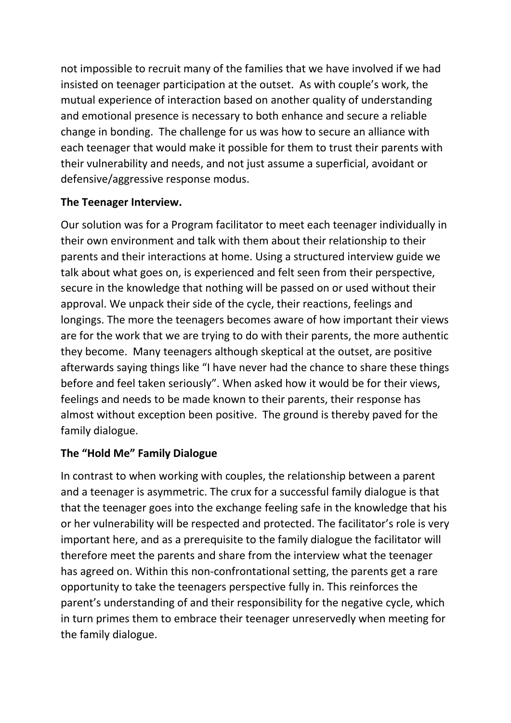not impossible to recruit many of the families that we have involved if we had insisted on teenager participation at the outset. As with couple's work, the mutual experience of interaction based on another quality of understanding and emotional presence is necessary to both enhance and secure a reliable change in bonding. The challenge for us was how to secure an alliance with each teenager that would make it possible for them to trust their parents with their vulnerability and needs, and not just assume a superficial, avoidant or defensive/aggressive response modus.

## **The Teenager Interview.**

Our solution was for a Program facilitator to meet each teenager individually in their own environment and talk with them about their relationship to their parents and their interactions at home. Using a structured interview guide we talk about what goes on, is experienced and felt seen from their perspective, secure in the knowledge that nothing will be passed on or used without their approval. We unpack their side of the cycle, their reactions, feelings and longings. The more the teenagers becomes aware of how important their views are for the work that we are trying to do with their parents, the more authentic they become. Many teenagers although skeptical at the outset, are positive afterwards saying things like "I have never had the chance to share these things before and feel taken seriously". When asked how it would be for their views, feelings and needs to be made known to their parents, their response has almost without exception been positive. The ground is thereby paved for the family dialogue.

# **The "Hold Me" Family Dialogue**

In contrast to when working with couples, the relationship between a parent and a teenager is asymmetric. The crux for a successful family dialogue is that that the teenager goes into the exchange feeling safe in the knowledge that his or her vulnerability will be respected and protected. The facilitator's role is very important here, and as a prerequisite to the family dialogue the facilitator will therefore meet the parents and share from the interview what the teenager has agreed on. Within this non-confrontational setting, the parents get a rare opportunity to take the teenagers perspective fully in. This reinforces the parent's understanding of and their responsibility for the negative cycle, which in turn primes them to embrace their teenager unreservedly when meeting for the family dialogue.